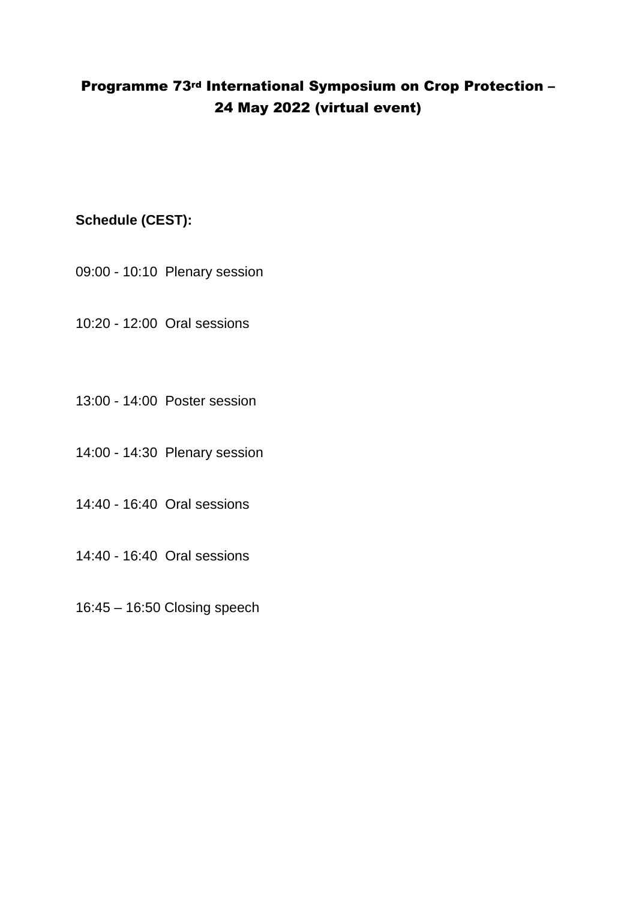## Programme 73rd International Symposium on Crop Protection – 24 May 2022 (virtual event)

## **Schedule (CEST):**

09:00 - 10:10 Plenary session

10:20 - 12:00 Oral sessions

13:00 - 14:00 Poster session

14:00 - 14:30 Plenary session

14:40 - 16:40 Oral sessions

14:40 - 16:40 Oral sessions

16:45 – 16:50 Closing speech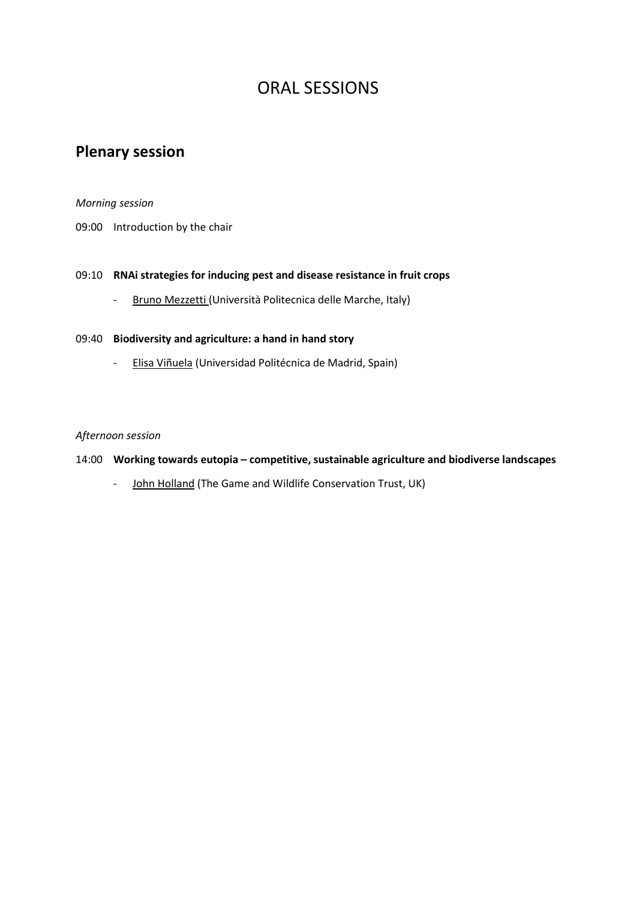# ORAL SESSIONS

# **Plenary session**

### *Morning session*

09:00 Introduction by the chair

## 09:10 **RNAi strategies for inducing pest and disease resistance in fruit crops**

- Bruno Mezzetti (Università Politecnica delle Marche, Italy)

#### 09:40 **Biodiversity and agriculture: a hand in hand story**

- Elisa Viñuela (Universidad Politécnica de Madrid, Spain)

### *Afternoon session*

#### 14:00 **Working towards eutopia – competitive, sustainable agriculture and biodiverse landscapes**

- John Holland (The Game and Wildlife Conservation Trust, UK)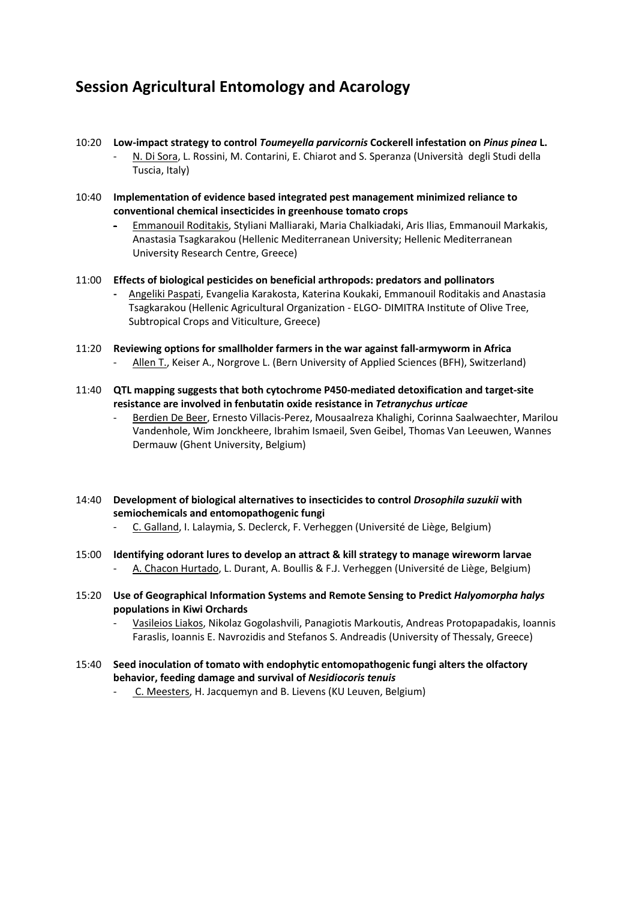## **Session Agricultural Entomology and Acarology**

- 10:20 **Low-impact strategy to control** *Toumeyella parvicornis* **Cockerell infestation on** *Pinus pinea* **L.**
	- N. Di Sora, L. Rossini, M. Contarini, E. Chiarot and S. Speranza (Università degli Studi della Tuscia, Italy)
- 10:40 **Implementation of evidence based integrated pest management minimized reliance to conventional chemical insecticides in greenhouse tomato crops**
	- Emmanouil Roditakis, Styliani Malliaraki, Maria Chalkiadaki, Aris Ilias, Emmanouil Markakis, Anastasia Tsagkarakou (Hellenic Mediterranean University; Hellenic Mediterranean University Research Centre, Greece)
- 11:00 **Effects of biological pesticides on beneficial arthropods: predators and pollinators** 
	- Angeliki Paspati, Evangelia Karakosta, Katerina Koukaki, Emmanouil Roditakis and Anastasia Tsagkarakou (Hellenic Agricultural Organization - ELGO- DIMITRA Institute of Olive Tree, Subtropical Crops and Viticulture, Greece)
- 11:20 **Reviewing options for smallholder farmers in the war against fall-armyworm in Africa**  - Allen T., Keiser A., Norgrove L. (Bern University of Applied Sciences (BFH), Switzerland)
- 11:40 **QTL mapping suggests that both cytochrome P450-mediated detoxification and target-site resistance are involved in fenbutatin oxide resistance in** *Tetranychus urticae*
	- Berdien De Beer, Ernesto Villacis-Perez, Mousaalreza Khalighi, Corinna Saalwaechter, Marilou Vandenhole, Wim Jonckheere, Ibrahim Ismaeil, Sven Geibel, Thomas Van Leeuwen, Wannes Dermauw (Ghent University, Belgium)
- 14:40 **Development of biological alternatives to insecticides to control** *Drosophila suzukii* **with semiochemicals and entomopathogenic fungi**
	- C. Galland, I. Lalaymia, S. Declerck, F. Verheggen (Université de Liège, Belgium)
- 15:00 **Identifying odorant lures to develop an attract & kill strategy to manage wireworm larvae**  - A. Chacon Hurtado, L. Durant, A. Boullis & F.J. Verheggen (Université de Liège, Belgium)
- 15:20 **Use of Geographical Information Systems and Remote Sensing to Predict** *Halyomorpha halys* **populations in Kiwi Orchards**
	- Vasileios Liakos, Nikolaz Gogolashvili, Panagiotis Markoutis, Andreas Protopapadakis, Ioannis Faraslis, Ioannis E. Navrozidis and Stefanos S. Andreadis (University of Thessaly, Greece)
- 15:40 **Seed inoculation of tomato with endophytic entomopathogenic fungi alters the olfactory behavior, feeding damage and survival of** *Nesidiocoris tenuis*
	- C. Meesters, H. Jacquemyn and B. Lievens (KU Leuven, Belgium)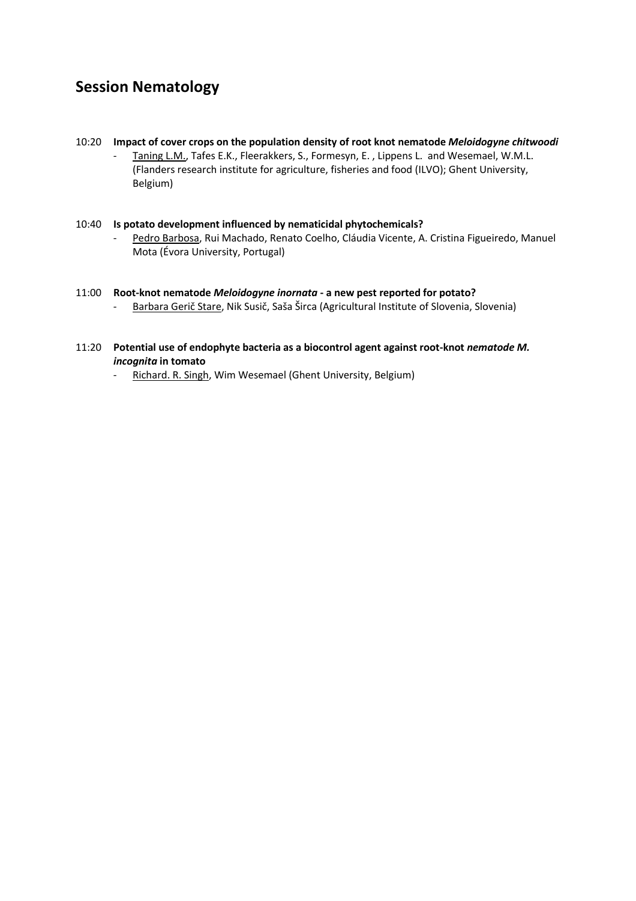## **Session Nematology**

- 10:20 **Impact of cover crops on the population density of root knot nematode** *Meloidogyne chitwoodi*
	- Taning L.M., Tafes E.K., Fleerakkers, S., Formesyn, E., Lippens L. and Wesemael, W.M.L. (Flanders research institute for agriculture, fisheries and food (ILVO); Ghent University, Belgium)

#### 10:40 **Is potato development influenced by nematicidal phytochemicals?**

Pedro Barbosa, Rui Machado, Renato Coelho, Cláudia Vicente, A. Cristina Figueiredo, Manuel Mota (Évora University, Portugal)

## 11:00 **Root-knot nematode** *Meloidogyne inornata* **- a new pest reported for potato?**

- Barbara Gerič Stare, Nik Susič, Saša Širca (Agricultural Institute of Slovenia, Slovenia)

#### 11:20 Potential use of endophyte bacteria as a biocontrol agent against root-knot *nematode M. incognita* **in tomato**

- Richard. R. Singh, Wim Wesemael (Ghent University, Belgium)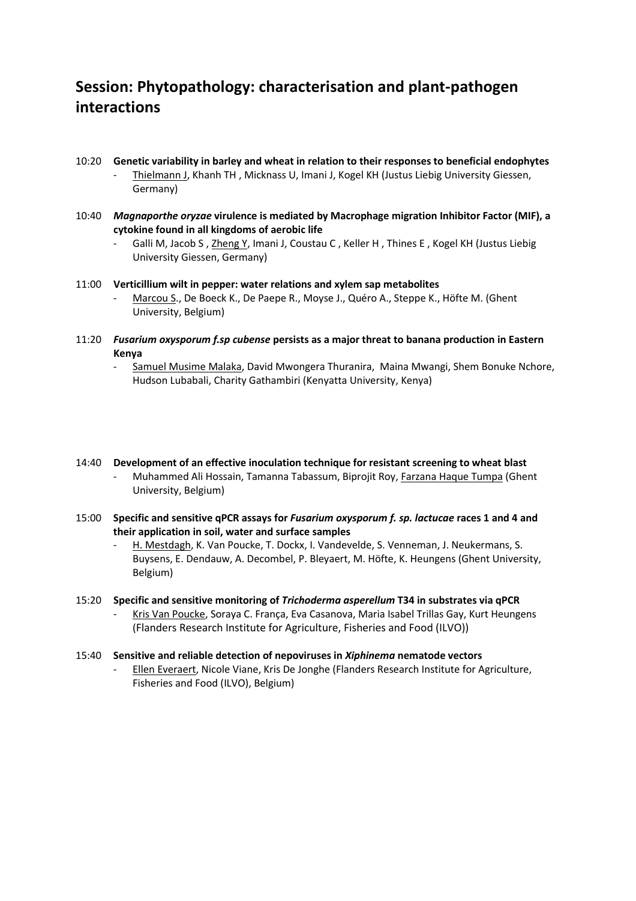## **Session: Phytopathology: characterisation and plant-pathogen interactions**

- 10:20 **Genetic variability in barley and wheat in relation to their responses to beneficial endophytes** - Thielmann J, Khanh TH , Micknass U, Imani J, Kogel KH (Justus Liebig University Giessen, Germany)
- 10:40 *Magnaporthe oryzae* **virulence is mediated by Macrophage migration Inhibitor Factor (MIF), a cytokine found in all kingdoms of aerobic life**
	- Galli M, Jacob S, Zheng Y, Imani J, Coustau C, Keller H, Thines E, Kogel KH (Justus Liebig University Giessen, Germany)
- 11:00 **Verticillium wilt in pepper: water relations and xylem sap metabolites**  Marcou S., De Boeck K., De Paepe R., Moyse J., Quéro A., Steppe K., Höfte M. (Ghent University, Belgium)
- 11:20 *Fusarium oxysporum f.sp cubense* **persists as a major threat to banana production in Eastern Kenya**
	- Samuel Musime Malaka, David Mwongera Thuranira, Maina Mwangi, Shem Bonuke Nchore, Hudson Lubabali, Charity Gathambiri (Kenyatta University, Kenya)
- 14:40 **Development of an effective inoculation technique for resistant screening to wheat blast** Muhammed Ali Hossain, Tamanna Tabassum, Biprojit Roy, Farzana Haque Tumpa (Ghent University, Belgium)
- 15:00 **Specific and sensitive qPCR assays for** *Fusarium oxysporum f. sp. lactucae* **races 1 and 4 and their application in soil, water and surface samples** 
	- H. Mestdagh, K. Van Poucke, T. Dockx, I. Vandevelde, S. Venneman, J. Neukermans, S. Buysens, E. Dendauw, A. Decombel, P. Bleyaert, M. Höfte, K. Heungens (Ghent University, Belgium)
- 15:20 **Specific and sensitive monitoring of** *Trichoderma asperellum* **T34 in substrates via qPCR**  - Kris Van Poucke, Soraya C. França, Eva Casanova, Maria Isabel Trillas Gay, Kurt Heungens (Flanders Research Institute for Agriculture, Fisheries and Food (ILVO))
- 15:40 **Sensitive and reliable detection of nepoviruses in** *Xiphinema* **nematode vectors**  - Ellen Everaert, Nicole Viane, Kris De Jonghe (Flanders Research Institute for Agriculture,
	- Fisheries and Food (ILVO), Belgium)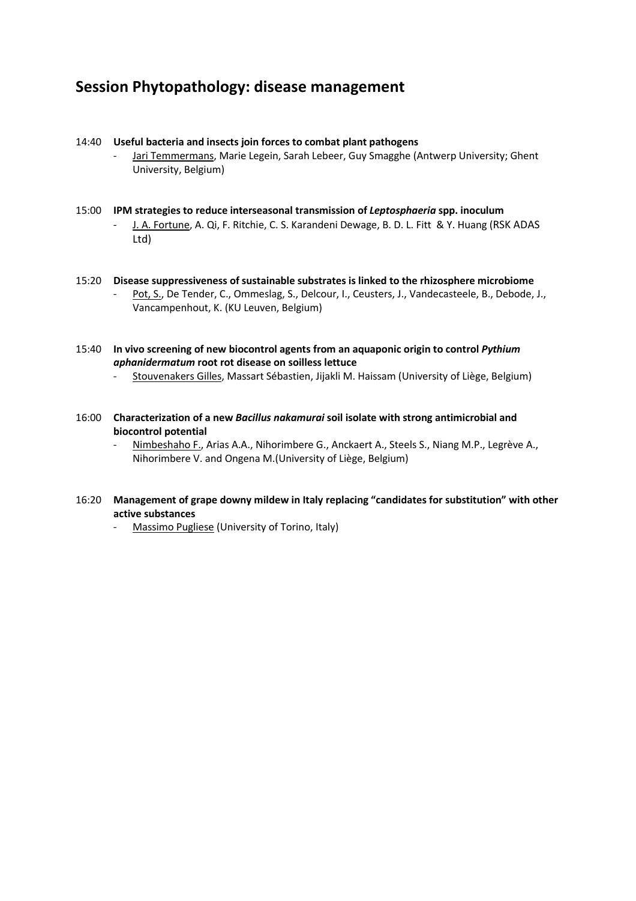## **Session Phytopathology: disease management**

#### 14:40 **Useful bacteria and insects join forces to combat plant pathogens**

- Jari Temmermans, Marie Legein, Sarah Lebeer, Guy Smagghe (Antwerp University; Ghent University, Belgium)
- 15:00 **IPM strategies to reduce interseasonal transmission of** *Leptosphaeria* **spp. inoculum** J. A. Fortune, A. Qi, F. Ritchie, C. S. Karandeni Dewage, B. D. L. Fitt & Y. Huang (RSK ADAS Ltd)
- 15:20 **Disease suppressiveness of sustainable substrates is linked to the rhizosphere microbiome** Pot, S., De Tender, C., Ommeslag, S., Delcour, I., Ceusters, J., Vandecasteele, B., Debode, J., Vancampenhout, K. (KU Leuven, Belgium)

15:40 **In vivo screening of new biocontrol agents from an aquaponic origin to control** *Pythium aphanidermatum* **root rot disease on soilless lettuce**

- Stouvenakers Gilles, Massart Sébastien, Jijakli M. Haissam (University of Liège, Belgium)
- 16:00 **Characterization of a new** *Bacillus nakamurai* **soil isolate with strong antimicrobial and biocontrol potential** 
	- Nimbeshaho F., Arias A.A., Nihorimbere G., Anckaert A., Steels S., Niang M.P., Legrève A., Nihorimbere V. and Ongena M.(University of Liège, Belgium)
- 16:20 **Management of grape downy mildew in Italy replacing "candidates for substitution" with other active substances**
	- Massimo Pugliese (University of Torino, Italy)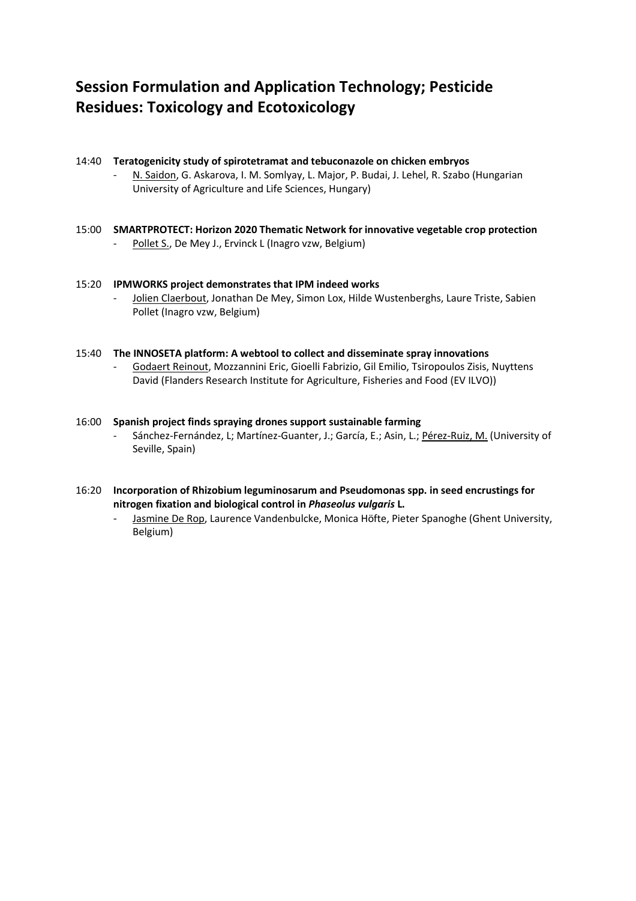# **Session Formulation and Application Technology; Pesticide Residues: Toxicology and Ecotoxicology**

#### 14:40 **Teratogenicity study of spirotetramat and tebuconazole on chicken embryos** - N. Saidon, G. Askarova, I. M. Somlyay, L. Major, P. Budai, J. Lehel, R. Szabo (Hungarian University of Agriculture and Life Sciences, Hungary)

15:00 **SMARTPROTECT: Horizon 2020 Thematic Network for innovative vegetable crop protection** Pollet S., De Mey J., Ervinck L (Inagro vzw, Belgium)

#### 15:20 **IPMWORKS project demonstrates that IPM indeed works**

Jolien Claerbout, Jonathan De Mey, Simon Lox, Hilde Wustenberghs, Laure Triste, Sabien Pollet (Inagro vzw, Belgium)

#### 15:40 **The INNOSETA platform: A webtool to collect and disseminate spray innovations**

- Godaert Reinout, Mozzannini Eric, Gioelli Fabrizio, Gil Emilio, Tsiropoulos Zisis, Nuyttens David (Flanders Research Institute for Agriculture, Fisheries and Food (EV ILVO))

#### 16:00 **Spanish project finds spraying drones support sustainable farming**

- Sánchez-Fernández, L; Martínez-Guanter, J.; García, E.; Asin, L.; Pérez-Ruiz, M. (University of Seville, Spain)

#### 16:20 **Incorporation of Rhizobium leguminosarum and Pseudomonas spp. in seed encrustings for nitrogen fixation and biological control in** *Phaseolus vulgaris* **L.**

- Jasmine De Rop, Laurence Vandenbulcke, Monica Höfte, Pieter Spanoghe (Ghent University, Belgium)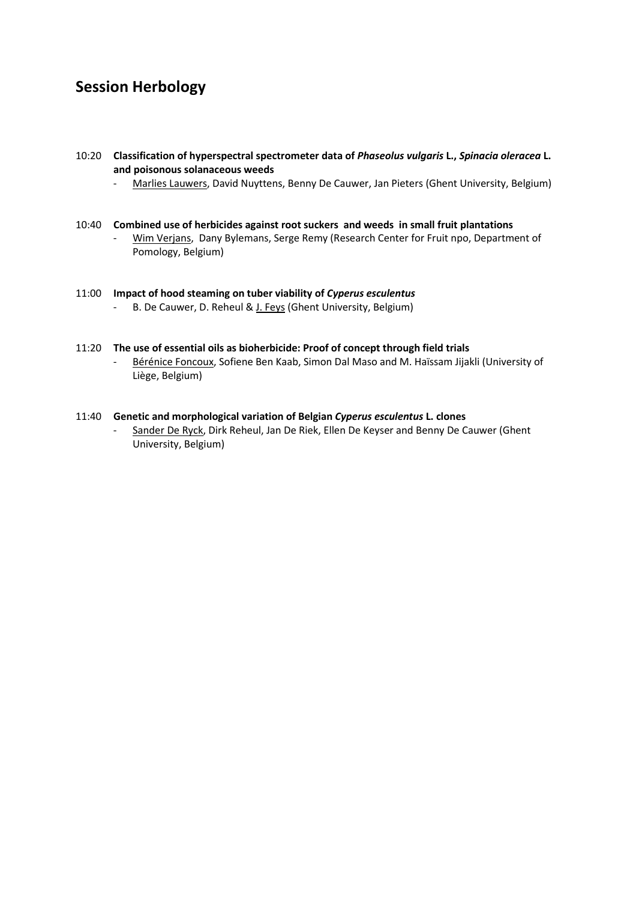## **Session Herbology**

#### 10:20 **Classification of hyperspectral spectrometer data of** *Phaseolus vulgaris* **L.,** *Spinacia oleracea* **L. and poisonous solanaceous weeds**

- Marlies Lauwers, David Nuyttens, Benny De Cauwer, Jan Pieters (Ghent University, Belgium)

#### 10:40 **Combined use of herbicides against root suckers and weeds in small fruit plantations**

Wim Verjans, Dany Bylemans, Serge Remy (Research Center for Fruit npo, Department of Pomology, Belgium)

## 11:00 **Impact of hood steaming on tuber viability of** *Cyperus esculentus*

- B. De Cauwer, D. Reheul & J. Feys (Ghent University, Belgium)

#### 11:20 **The use of essential oils as bioherbicide: Proof of concept through field trials**

- Bérénice Foncoux, Sofiene Ben Kaab, Simon Dal Maso and M. Haïssam Jijakli (University of Liège, Belgium)

## 11:40 **Genetic and morphological variation of Belgian** *Cyperus esculentus* **L. clones** Sander De Ryck, Dirk Reheul, Jan De Riek, Ellen De Keyser and Benny De Cauwer (Ghent University, Belgium)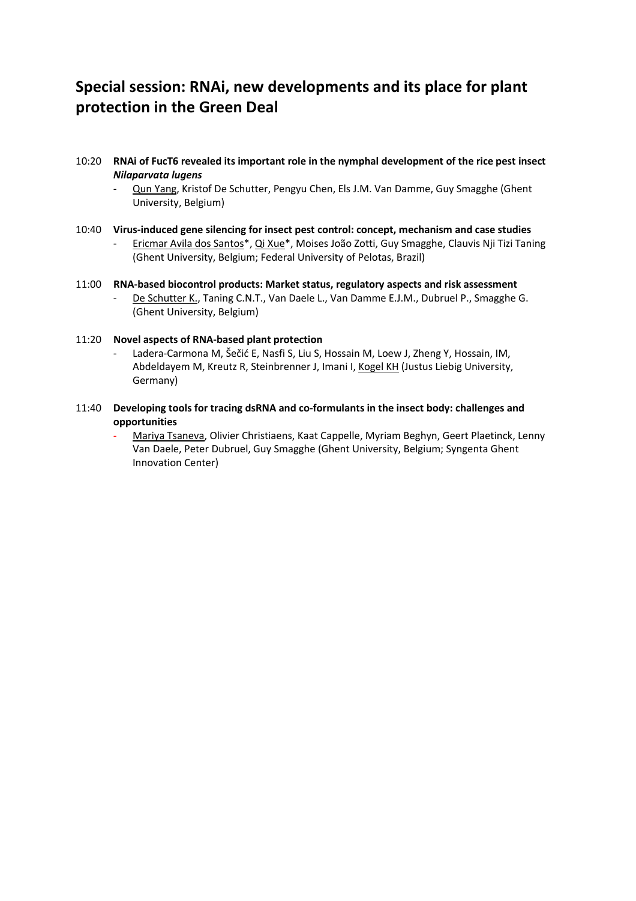# **Special session: RNAi, new developments and its place for plant protection in the Green Deal**

#### 10:20 **RNAi of FucT6 revealed its important role in the nymphal development of the rice pest insect**  *Nilaparvata lugens*

- Qun Yang, Kristof De Schutter, Pengyu Chen, Els J.M. Van Damme, Guy Smagghe (Ghent University, Belgium)
- 10:40 **Virus-induced gene silencing for insect pest control: concept, mechanism and case studies** Ericmar Avila dos Santos\*, Qi Xue\*, Moises João Zotti, Guy Smagghe, Clauvis Nji Tizi Taning (Ghent University, Belgium; Federal University of Pelotas, Brazil)
- 11:00 **RNA-based biocontrol products: Market status, regulatory aspects and risk assessment**  De Schutter K., Taning C.N.T., Van Daele L., Van Damme E.J.M., Dubruel P., Smagghe G. (Ghent University, Belgium)

#### 11:20 **Novel aspects of RNA-based plant protection**

- Ladera-Carmona M, Šečić E, Nasfi S, Liu S, Hossain M, Loew J, Zheng Y, Hossain, IM, Abdeldayem M, Kreutz R, Steinbrenner J, Imani I, Kogel KH (Justus Liebig University, Germany)
- 11:40 **Developing tools for tracing dsRNA and co-formulants in the insect body: challenges and opportunities** 
	- Mariya Tsaneva, Olivier Christiaens, Kaat Cappelle, Myriam Beghyn, Geert Plaetinck, Lenny Van Daele, Peter Dubruel, Guy Smagghe (Ghent University, Belgium; Syngenta Ghent Innovation Center)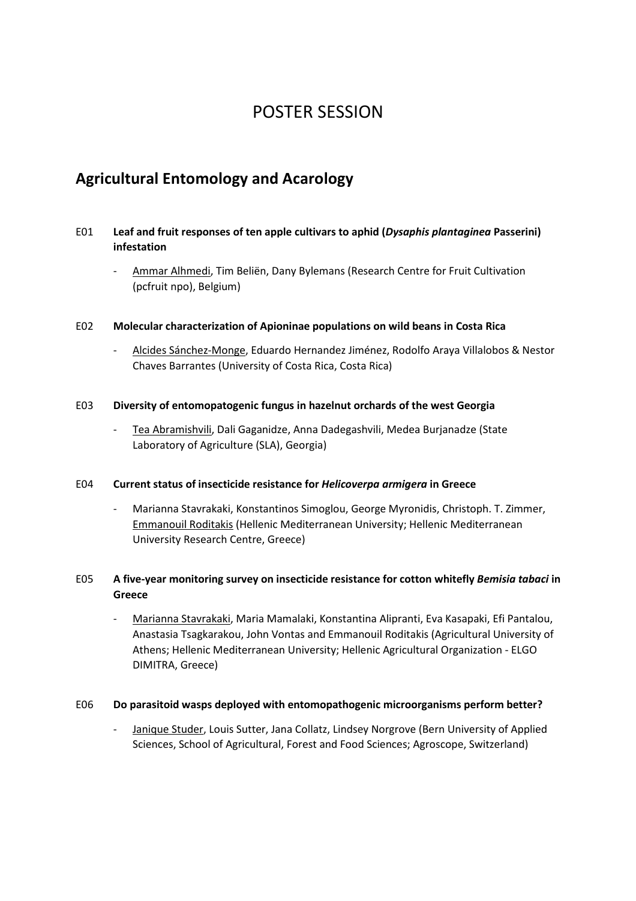# POSTER SESSION

## **Agricultural Entomology and Acarology**

## E01 **Leaf and fruit responses of ten apple cultivars to aphid (***Dysaphis plantaginea* **Passerini) infestation**

- Ammar Alhmedi, Tim Beliën, Dany Bylemans (Research Centre for Fruit Cultivation (pcfruit npo), Belgium)

### E02 **Molecular characterization of Apioninae populations on wild beans in Costa Rica**

- Alcides Sánchez-Monge, Eduardo Hernandez Jiménez, Rodolfo Araya Villalobos & Nestor Chaves Barrantes (University of Costa Rica, Costa Rica)

### E03 **Diversity of entomopatogenic fungus in hazelnut orchards of the west Georgia**

- Tea Abramishvili, Dali Gaganidze, Anna Dadegashvili, Medea Burjanadze (State Laboratory of Agriculture (SLA), Georgia)

#### E04 **Current status of insecticide resistance for** *Helicoverpa armigera* **in Greece**

- Marianna Stavrakaki, Konstantinos Simoglou, George Myronidis, Christoph. T. Zimmer, Emmanouil Roditakis (Hellenic Mediterranean University; Hellenic Mediterranean University Research Centre, Greece)

## E05 **A five-year monitoring survey on insecticide resistance for cotton whitefly** *Bemisia tabaci* **in Greece**

- Marianna Stavrakaki, Maria Mamalaki, Konstantina Alipranti, Eva Kasapaki, Efi Pantalou, Anastasia Tsagkarakou, John Vontas and Emmanouil Roditakis (Agricultural University of Athens; Hellenic Mediterranean University; Hellenic Agricultural Organization - ELGO DIMITRA, Greece)

#### E06 **Do parasitoid wasps deployed with entomopathogenic microorganisms perform better?**

- Janique Studer, Louis Sutter, Jana Collatz, Lindsey Norgrove (Bern University of Applied Sciences, School of Agricultural, Forest and Food Sciences; Agroscope, Switzerland)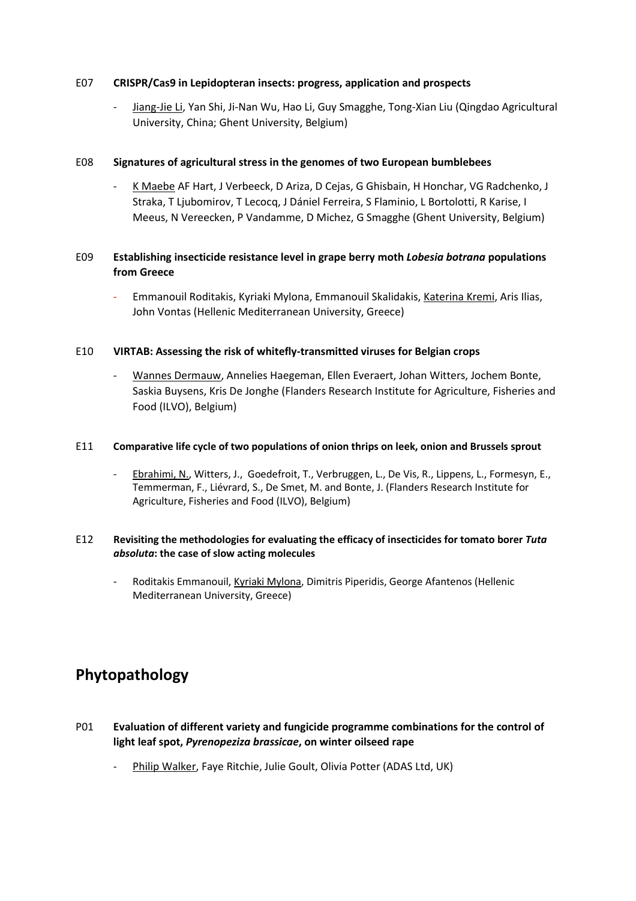### E07 **CRISPR/Cas9 in Lepidopteran insects: progress, application and prospects**

- Jiang-Jie Li, Yan Shi, Ji-Nan Wu, Hao Li, Guy Smagghe, Tong-Xian Liu (Qingdao Agricultural University, China; Ghent University, Belgium)

### E08 **Signatures of agricultural stress in the genomes of two European bumblebees**

K Maebe AF Hart, J Verbeeck, D Ariza, D Cejas, G Ghisbain, H Honchar, VG Radchenko, J Straka, T Ljubomirov, T Lecocq, J Dániel Ferreira, S Flaminio, L Bortolotti, R Karise, I Meeus, N Vereecken, P Vandamme, D Michez, G Smagghe (Ghent University, Belgium)

## E09 **Establishing insecticide resistance level in grape berry moth** *Lobesia botrana* **populations from Greece**

- Emmanouil Roditakis, Kyriaki Mylona, Emmanouil Skalidakis, Katerina Kremi, Aris Ilias, John Vontas (Hellenic Mediterranean University, Greece)

### E10 **VIRTAB: Assessing the risk of whitefly-transmitted viruses for Belgian crops**

- Wannes Dermauw, Annelies Haegeman, Ellen Everaert, Johan Witters, Jochem Bonte, Saskia Buysens, Kris De Jonghe (Flanders Research Institute for Agriculture, Fisheries and Food (ILVO), Belgium)

#### E11 **Comparative life cycle of two populations of onion thrips on leek, onion and Brussels sprout**

Ebrahimi, N., Witters, J., Goedefroit, T., Verbruggen, L., De Vis, R., Lippens, L., Formesyn, E., Temmerman, F., Liévrard, S., De Smet, M. and Bonte, J. (Flanders Research Institute for Agriculture, Fisheries and Food (ILVO), Belgium)

### E12 **Revisiting the methodologies for evaluating the efficacy of insecticides for tomato borer** *Tuta absoluta***: the case of slow acting molecules**

- Roditakis Emmanouil, Kyriaki Mylona, Dimitris Piperidis, George Afantenos (Hellenic Mediterranean University, Greece)

# **Phytopathology**

- P01 **Evaluation of different variety and fungicide programme combinations for the control of light leaf spot,** *Pyrenopeziza brassicae***, on winter oilseed rape** 
	- Philip Walker, Faye Ritchie, Julie Goult, Olivia Potter (ADAS Ltd, UK)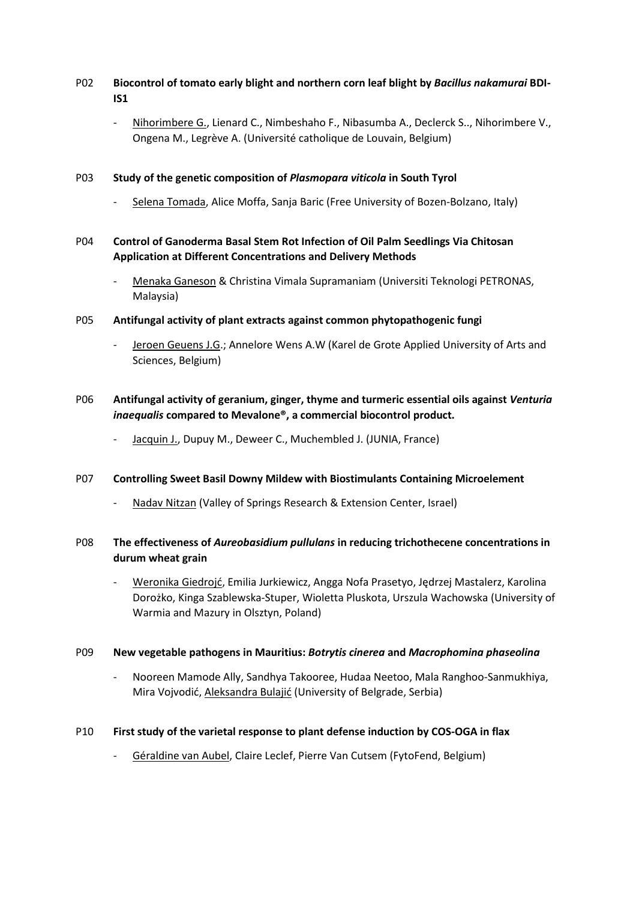## P02 **Biocontrol of tomato early blight and northern corn leaf blight by** *Bacillus nakamurai* **BDI-IS1**

- Nihorimbere G., Lienard C., Nimbeshaho F., Nibasumba A., Declerck S.., Nihorimbere V., Ongena M., Legrève A. (Université catholique de Louvain, Belgium)

### P03 **Study of the genetic composition of** *Plasmopara viticola* **in South Tyrol**

- Selena Tomada, Alice Moffa, Sanja Baric (Free University of Bozen-Bolzano, Italy)

## P04 **Control of Ganoderma Basal Stem Rot Infection of Oil Palm Seedlings Via Chitosan Application at Different Concentrations and Delivery Methods**

- Menaka Ganeson & Christina Vimala Supramaniam (Universiti Teknologi PETRONAS, Malaysia)
- P05 **Antifungal activity of plant extracts against common phytopathogenic fungi** 
	- Jeroen Geuens J.G.; Annelore Wens A.W (Karel de Grote Applied University of Arts and Sciences, Belgium)

## P06 **Antifungal activity of geranium, ginger, thyme and turmeric essential oils against** *Venturia inaequalis* **compared to Mevalone®, a commercial biocontrol product.**

Jacquin J., Dupuy M., Deweer C., Muchembled J. (JUNIA, France)

#### P07 **Controlling Sweet Basil Downy Mildew with Biostimulants Containing Microelement**

- Nadav Nitzan (Valley of Springs Research & Extension Center, Israel)

## P08 **The effectiveness of** *Aureobasidium pullulans* **in reducing trichothecene concentrations in durum wheat grain**

- Weronika Giedrojć, Emilia Jurkiewicz, Angga Nofa Prasetyo, Jędrzej Mastalerz, Karolina Dorożko, Kinga Szablewska-Stuper, Wioletta Pluskota, Urszula Wachowska (University of Warmia and Mazury in Olsztyn, Poland)

#### P09 **New vegetable pathogens in Mauritius:** *Botrytis cinerea* **and** *Macrophomina phaseolina*

- Nooreen Mamode Ally, Sandhya Takooree, Hudaa Neetoo, Mala Ranghoo-Sanmukhiya, Mira Vojvodić, Aleksandra Bulajić (University of Belgrade, Serbia)

#### P10 **First study of the varietal response to plant defense induction by COS-OGA in flax**

- Géraldine van Aubel, Claire Leclef, Pierre Van Cutsem (FytoFend, Belgium)